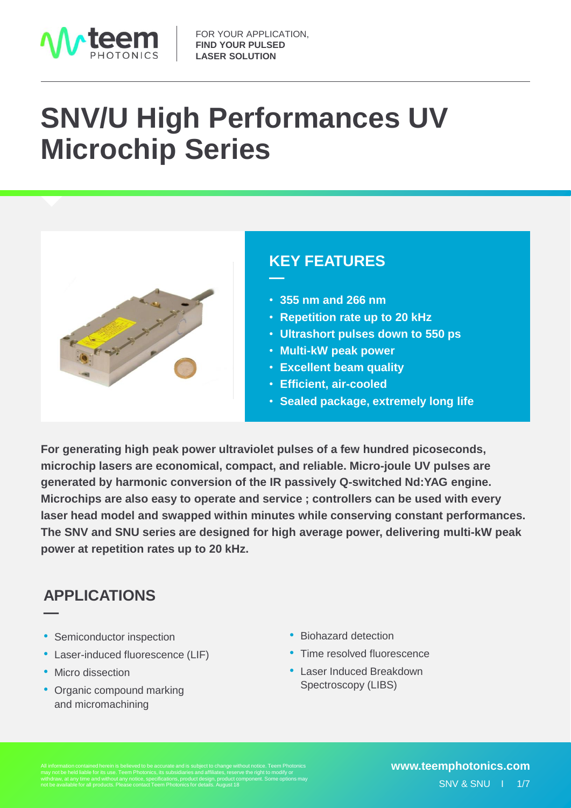

# **SNV/U High Performances UV Microchip Series**



#### •**KEY FEATURES**

- **355 nm and 266 nm**
- **Repetition rate up to 20 kHz**
- **Ultrashort pulses down to 550 ps**
- **Multi-kW peak power**
- **Excellent beam quality**
- **Efficient, air-cooled**
- **Sealed package, extremely long life**

**For generating high peak power ultraviolet pulses of a few hundred picoseconds, microchip lasers are economical, compact, and reliable. Micro-joule UV pulses are generated by harmonic conversion of the IR passively Q-switched Nd:YAG engine. Microchips are also easy to operate and service ; controllers can be used with every laser head model and swapped within minutes while conserving constant performances. The SNV and SNU series are designed for high average power, delivering multi-kW peak power at repetition rates up to 20 kHz.**

**—**

### •**APPLICATIONS**

- Semiconductor inspection
- Laser-induced fluorescence (LIF)
- Micro dissection

**—**

• Organic compound marking and micromachining

- Biohazard detection
- Time resolved fluorescence
- Laser Induced Breakdown Spectroscopy (LIBS)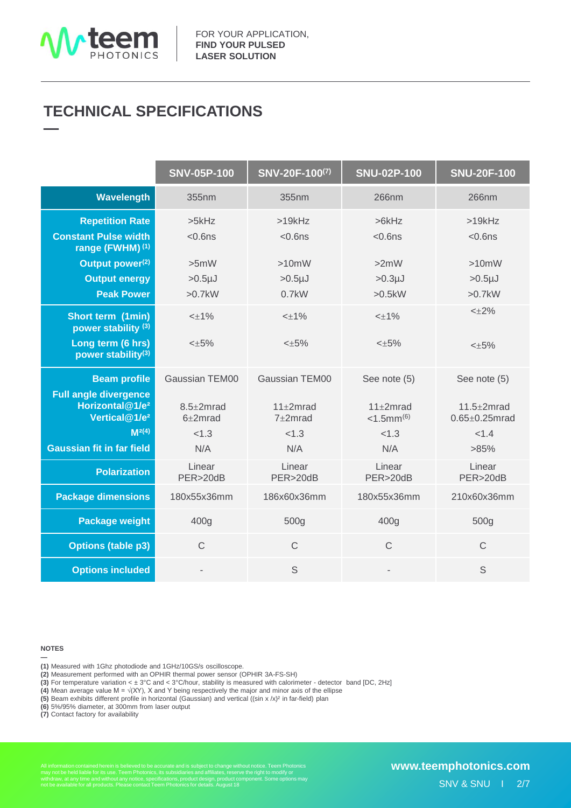

#### •**TECHNICAL SPECIFICATIONS —**

|                                                                                          | <b>SNV-05P-100</b>       | SNV-20F-100(7)            | <b>SNU-02P-100</b>            | <b>SNU-20F-100</b>                     |
|------------------------------------------------------------------------------------------|--------------------------|---------------------------|-------------------------------|----------------------------------------|
| <b>Wavelength</b>                                                                        | 355nm                    | 355nm                     | 266nm                         | 266nm                                  |
| <b>Repetition Rate</b>                                                                   | >5kHz                    | >19kHz                    | >6kHz                         | >19kHz                                 |
| <b>Constant Pulse width</b><br>range (FWHM) <sup>(1)</sup>                               | $<$ 0.6 $ns$             | $< 0.6$ ns                | $<$ 0.6 $ns$                  | $< 0.6$ ns                             |
| Output power <sup>(2)</sup>                                                              | >5mW                     | >10mW                     | >2mW                          | >10mW                                  |
| <b>Output energy</b>                                                                     | $>0.5µ$ J                | $>0.5µ$ J                 | $>0.3µ$ J                     | $>0.5 \mu J$                           |
| <b>Peak Power</b>                                                                        | $>0.7$ kW                | $0.7$ kW                  | >0.5kW                        | $>0.7$ kW                              |
| Short term (1min)<br>power stability <sup>(3)</sup>                                      | $<\pm$ 1%                | $<\pm$ 1%                 | $<\pm$ 1%                     | $< +2\%$                               |
| Long term (6 hrs)<br>power stability(3)                                                  | $< \pm 5\%$              | $< \pm 5\%$               | $< \pm 5\%$                   | $<\pm 5\%$                             |
| <b>Beam profile</b>                                                                      | Gaussian TEM00           | Gaussian TEM00            | See note (5)                  | See note (5)                           |
| <b>Full angle divergence</b><br>Horizontal@1/e <sup>2</sup><br>Vertical@1/e <sup>2</sup> | $8.5+2mrad$<br>$6+2mrad$ | $11+2mrad$<br>$7\pm2mrad$ | $11+2mrad$<br>$<$ 1.5mm $(6)$ | $11.5 + 2mrad$<br>$0.65 \pm 0.25$ mrad |
| M <sup>2</sup> (4)                                                                       | < 1.3                    | < 1.3                     | < 1.3                         | < 1.4                                  |
| <b>Gaussian fit in far field</b>                                                         | N/A                      | N/A                       | N/A                           | >85%                                   |
| <b>Polarization</b>                                                                      | Linear<br>PER>20dB       | Linear<br>PER>20dB        | Linear<br>PER>20dB            | Linear<br>PER>20dB                     |
| <b>Package dimensions</b>                                                                | 180x55x36mm              | 186x60x36mm               | 180x55x36mm                   | 210x60x36mm                            |
| <b>Package weight</b>                                                                    | 400g                     | 500g                      | 400g                          | 500g                                   |
| <b>Options (table p3)</b>                                                                | $\mathsf{C}$             | $\mathsf{C}$              | $\mathsf{C}$                  | $\mathsf{C}$                           |
| <b>Options included</b>                                                                  |                          | S                         |                               | S                                      |

#### **NOTES**

**—**

**(1)** Measured with 1Ghz photodiode and 1GHz/10GS/s oscilloscope.

**(2)** Measurement performed with an OPHIR thermal power sensor (OPHIR 3A-FS-SH)

**(3)** For temperature variation < ± 3°C and < 3°C/hour, stability is measured with calorimeter - detector band [DC, 2Hz]

**(4)** Mean average value M = √(XY), X and Y being respectively the major and minor axis of the ellipse

**(5)** Beam exhibits different profile in horizontal (Gaussian) and vertical ((sin x /x)<sup>2</sup> in far-field) plan

**(6)** 5%/95% diameter, at 300mm from laser output

**(7)** Contact factory for availability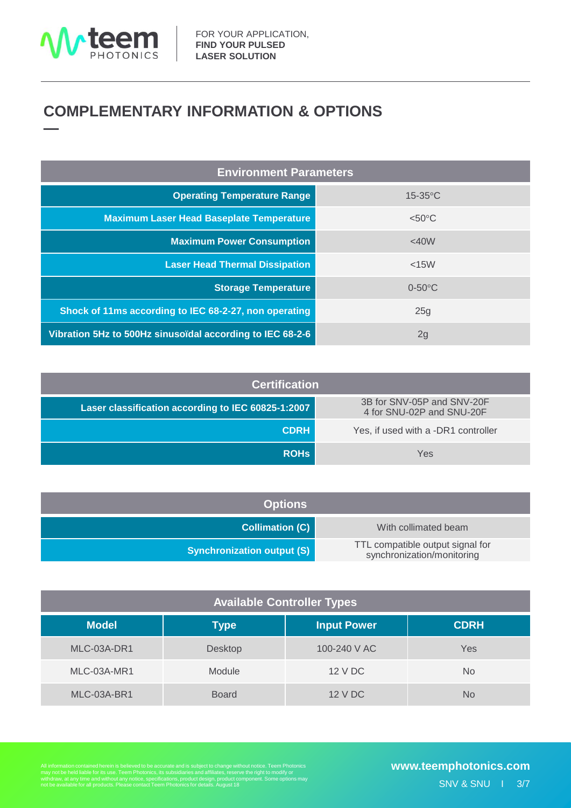

#### •**COMPLEMENTARY INFORMATION & OPTIONS —**

| <b>Environment Parameters</b>                             |                  |  |  |  |
|-----------------------------------------------------------|------------------|--|--|--|
| <b>Operating Temperature Range</b>                        | $15-35$ °C       |  |  |  |
| <b>Maximum Laser Head Baseplate Temperature</b>           | $< 50^{\circ}$ C |  |  |  |
| <b>Maximum Power Consumption</b>                          | <40W             |  |  |  |
| <b>Laser Head Thermal Dissipation</b>                     | $<$ 15 $W$       |  |  |  |
| <b>Storage Temperature</b>                                | $0-50$ °C        |  |  |  |
| Shock of 11ms according to IEC 68-2-27, non operating     | 25g              |  |  |  |
| Vibration 5Hz to 500Hz sinusoïdal according to IEC 68-2-6 | 2g               |  |  |  |

| <b>Certification</b>                               |                                                         |  |  |  |  |
|----------------------------------------------------|---------------------------------------------------------|--|--|--|--|
| Laser classification according to IEC 60825-1:2007 | 3B for SNV-05P and SNV-20F<br>4 for SNU-02P and SNU-20F |  |  |  |  |
| <b>CDRH</b>                                        | Yes, if used with a -DR1 controller                     |  |  |  |  |
| <b>ROHS</b>                                        | Yes                                                     |  |  |  |  |

| <b>Options</b>                    |                                                                |  |  |  |
|-----------------------------------|----------------------------------------------------------------|--|--|--|
| <b>Collimation (C)</b>            | With collimated beam                                           |  |  |  |
| <b>Synchronization output (S)</b> | TTL compatible output signal for<br>synchronization/monitoring |  |  |  |

| <b>Available Controller Types</b> |              |                    |             |  |  |
|-----------------------------------|--------------|--------------------|-------------|--|--|
| <b>Model</b>                      | <b>Type</b>  | <b>Input Power</b> | <b>CDRH</b> |  |  |
| MLC-03A-DR1                       | Desktop      | 100-240 V AC       | Yes         |  |  |
| MLC-03A-MR1                       | Module       | 12 V DC            | <b>No</b>   |  |  |
| MLC-03A-BR1                       | <b>Board</b> | 12 V DC            | No          |  |  |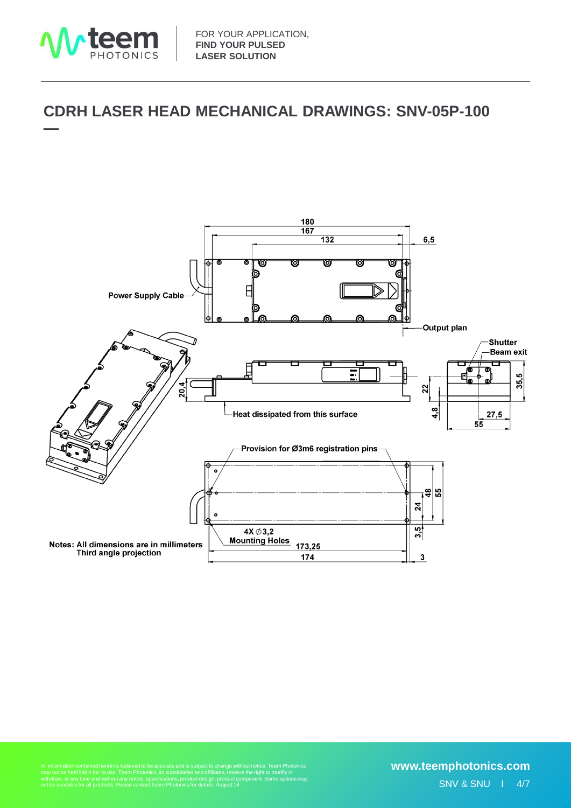

#### •**CDRH LASER HEAD MECHANICAL DRAWINGS: SNV-05P-100 —**

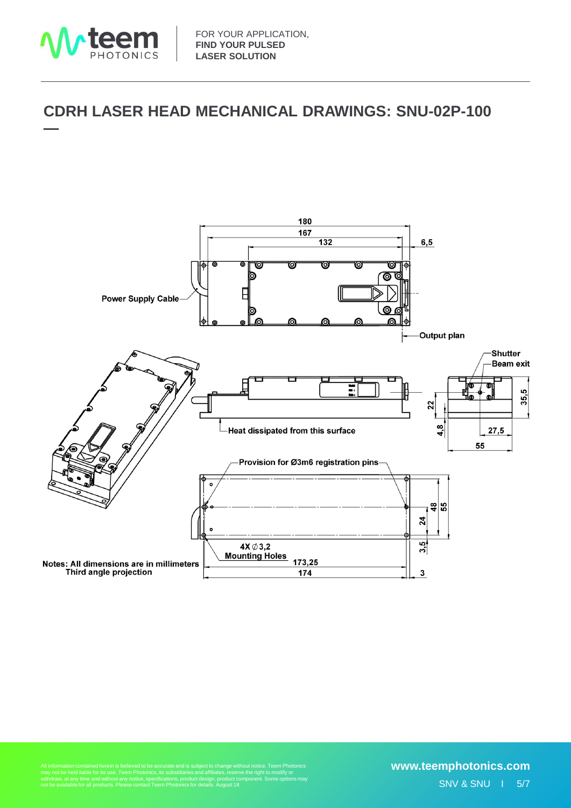

#### •**CDRH LASER HEAD MECHANICAL DRAWINGS: SNU-02P-100 —**



ithout notice. Teem Photonics<br>rve the right to modify or<br>component. Some options may not be available for all products. Please contact Teem Photonics for details. August 18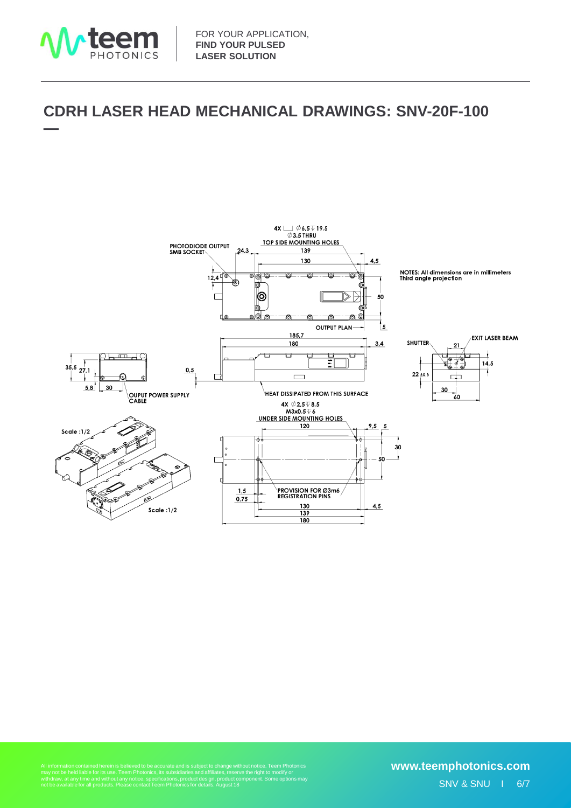

#### •**CDRH LASER HEAD MECHANICAL DRAWINGS: SNV-20F-100 —**



All information contained herein is believed to be accurate and is subject to change without notice. Teem Photonics<br>may not be held liable for its use. Teem Photonics, its subsidiaries and affiliates, reserve the right to

## SNV & SNU I 6/7